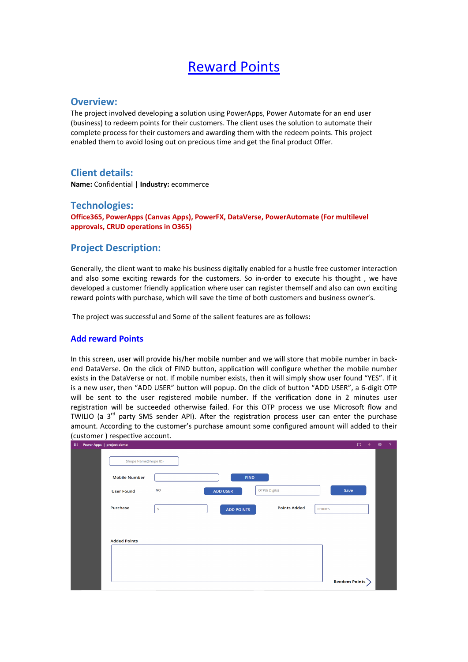# Reward Points

#### **Overview:**

The project involved developing a solution using PowerApps, Power Automate for an end user (business) to redeem points for their customers. The client uses the solution to automate their complete process for their customers and awarding them with the redeem points. This project enabled them to avoid losing out on precious time and get the final product Offer.

## **Client details:**

**Name:** Confidential | **Industry:** ecommerce

#### **Technologies:**

**Office365, PowerApps (Canvas Apps), PowerFX, DataVerse, PowerAutomate (For multilevel approvals, CRUD operations in O365)**

## **Project Description:**

Generally, the client want to make his business digitally enabled for a hustle free customer interaction and also some exciting rewards for the customers. So in-order to execute his thought , we have developed a customer friendly application where user can register themself and also can own exciting reward points with purchase, which will save the time of both customers and business owner's.

The project was successful and Some of the salient features are as follows**:**

#### **Add reward Points**

In this screen, user will provide his/her mobile number and we will store that mobile number in backend DataVerse. On the click of FIND button, application will configure whether the mobile number exists in the DataVerse or not. If mobile number exists, then it will simply show user found "YES". If it is a new user, then "ADD USER" button will popup. On the click of button "ADD USER", a 6-digit OTP will be sent to the user registered mobile number. If the verification done in 2 minutes user registration will be succeeded otherwise failed. For this OTP process we use Microsoft flow and TWILIO (a  $3<sup>rd</sup>$  party SMS sender API). After the registration process user can enter the purchase amount. According to the customer's purchase amount some configured amount will added to their (customer ) respective account.

| 田. | Power Apps   project demo |                                                                 | 耳 业 | ❀ | -2 |
|----|---------------------------|-----------------------------------------------------------------|-----|---|----|
|    | Shope Name(Shope ID)      |                                                                 |     |   |    |
|    | <b>Mobile Number</b>      | <b>FIND</b>                                                     |     |   |    |
|    | <b>User Found</b>         | OTP(6 Digits)<br><b>NO</b><br>Save<br><b>ADD USER</b>           |     |   |    |
|    | Purchase                  | <b>Points Added</b><br><b>POINTS</b><br><b>ADD POINTS</b><br>\$ |     |   |    |
|    |                           |                                                                 |     |   |    |
|    | <b>Added Points</b>       |                                                                 |     |   |    |
|    |                           |                                                                 |     |   |    |
|    |                           |                                                                 |     |   |    |
|    |                           | <b>Reedem Points</b>                                            |     |   |    |